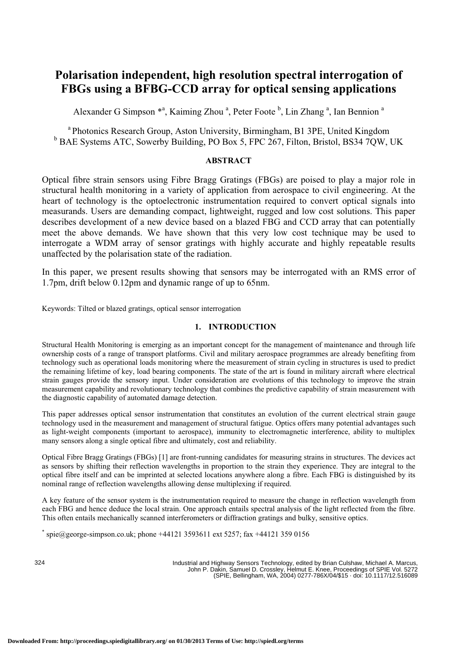# **Polarisation independent, high resolution spectral interrogation of FBGs using a BFBG-CCD array for optical sensing applications**

Alexander G Simpson \*<sup>a</sup>, Kaiming Zhou <sup>a</sup>, Peter Foote <sup>b</sup>, Lin Zhang <sup>a</sup>, Ian Bennion <sup>a</sup>

<sup>a</sup> Photonics Research Group, Aston University, Birmingham, B1 3PE, United Kingdom <sup>b</sup> BAE Systems ATC, Sowerby Building, PO Box 5, FPC 267, Filton, Bristol, BS34 7QW, UK

# **ABSTRACT**

Optical fibre strain sensors using Fibre Bragg Gratings (FBGs) are poised to play a major role in structural health monitoring in a variety of application from aerospace to civil engineering. At the heart of technology is the optoelectronic instrumentation required to convert optical signals into measurands. Users are demanding compact, lightweight, rugged and low cost solutions. This paper describes development of a new device based on a blazed FBG and CCD array that can potentially meet the above demands. We have shown that this very low cost technique may be used to interrogate a WDM array of sensor gratings with highly accurate and highly repeatable results unaffected by the polarisation state of the radiation.

In this paper, we present results showing that sensors may be interrogated with an RMS error of 1.7pm, drift below 0.12pm and dynamic range of up to 65nm.

Keywords: Tilted or blazed gratings, optical sensor interrogation

# **1. INTRODUCTION**

Structural Health Monitoring is emerging as an important concept for the management of maintenance and through life ownership costs of a range of transport platforms. Civil and military aerospace programmes are already benefiting from technology such as operational loads monitoring where the measurement of strain cycling in structures is used to predict the remaining lifetime of key, load bearing components. The state of the art is found in military aircraft where electrical strain gauges provide the sensory input. Under consideration are evolutions of this technology to improve the strain measurement capability and revolutionary technology that combines the predictive capability of strain measurement with the diagnostic capability of automated damage detection.

This paper addresses optical sensor instrumentation that constitutes an evolution of the current electrical strain gauge technology used in the measurement and management of structural fatigue. Optics offers many potential advantages such as light-weight components (important to aerospace), immunity to electromagnetic interference, ability to multiplex many sensors along a single optical fibre and ultimately, cost and reliability.

Optical Fibre Bragg Gratings (FBGs) [1] are front-running candidates for measuring strains in structures. The devices act as sensors by shifting their reflection wavelengths in proportion to the strain they experience. They are integral to the optical fibre itself and can be imprinted at selected locations anywhere along a fibre. Each FBG is distinguished by its nominal range of reflection wavelengths allowing dense multiplexing if required.

A key feature of the sensor system is the instrumentation required to measure the change in reflection wavelength from each FBG and hence deduce the local strain. One approach entails spectral analysis of the light reflected from the fibre. This often entails mechanically scanned interferometers or diffraction gratings and bulky, sensitive optics. \*

 $\sigma$  spie $@$ george-simpson.co.uk; phone +44121 3593611 ext 5257; fax +44121 359 0156

324

Industrial and Highway Sensors Technology, edited by Brian Culshaw, Michael A. Marcus, John P. Dakin, Samuel D. Crossley, Helmut E. Knee, Proceedings of SPIE Vol. 5272 (SPIE, Bellingham, WA, 2004) 0277-786X/04/\$15 · doi: 10.1117/12.516089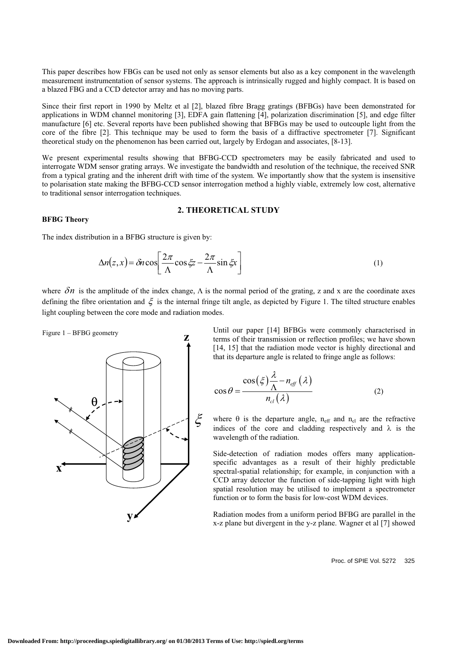This paper describes how FBGs can be used not only as sensor elements but also as a key component in the wavelength measurement instrumentation of sensor systems. The approach is intrinsically rugged and highly compact. It is based on a blazed FBG and a CCD detector array and has no moving parts.

Since their first report in 1990 by Meltz et al [2], blazed fibre Bragg gratings (BFBGs) have been demonstrated for applications in WDM channel monitoring [3], EDFA gain flattening [4], polarization discrimination [5], and edge filter manufacture [6] etc. Several reports have been published showing that BFBGs may be used to outcouple light from the core of the fibre [2]. This technique may be used to form the basis of a diffractive spectrometer [7]. Significant theoretical study on the phenomenon has been carried out, largely by Erdogan and associates, [8-13].

We present experimental results showing that BFBG-CCD spectrometers may be easily fabricated and used to interrogate WDM sensor grating arrays. We investigate the bandwidth and resolution of the technique, the received SNR from a typical grating and the inherent drift with time of the system. We importantly show that the system is insensitive to polarisation state making the BFBG-CCD sensor interrogation method a highly viable, extremely low cost, alternative to traditional sensor interrogation techniques.

# **2. THEORETICAL STUDY**

### **BFBG Theory**

The index distribution in a BFBG structure is given by:

$$
\Delta n(z, x) = \delta n \cos \left[ \frac{2\pi}{\Lambda} \cos \xi z - \frac{2\pi}{\Lambda} \sin \xi x \right]
$$
 (1)

where  $\delta n$  is the amplitude of the index change,  $\Lambda$  is the normal period of the grating, z and x are the coordinate axes defining the fibre orientation and  $\xi$  is the internal fringe tilt angle, as depicted by Figure 1. The tilted structure enables light coupling between the core mode and radiation modes.



Until our paper [14] BFBGs were commonly characterised in terms of their transmission or reflection profiles; we have shown [14, 15] that the radiation mode vector is highly directional and that its departure angle is related to fringe angle as follows:

$$
\cos \theta = \frac{\cos(\xi) \frac{\lambda}{\Lambda} - n_{\text{eff}}(\lambda)}{n_{\text{cl}}(\lambda)}
$$
(2)

where  $\theta$  is the departure angle, n<sub>eff</sub> and n<sub>cl</sub> are the refractive indices of the core and cladding respectively and  $\lambda$  is the wavelength of the radiation.

Side-detection of radiation modes offers many applicationspecific advantages as a result of their highly predictable spectral-spatial relationship; for example, in conjunction with a CCD array detector the function of side-tapping light with high spatial resolution may be utilised to implement a spectrometer function or to form the basis for low-cost WDM devices.

Radiation modes from a uniform period BFBG are parallel in the x-z plane but divergent in the y-z plane. Wagner et al [7] showed

Proc. of SPIE Vol. 5272 325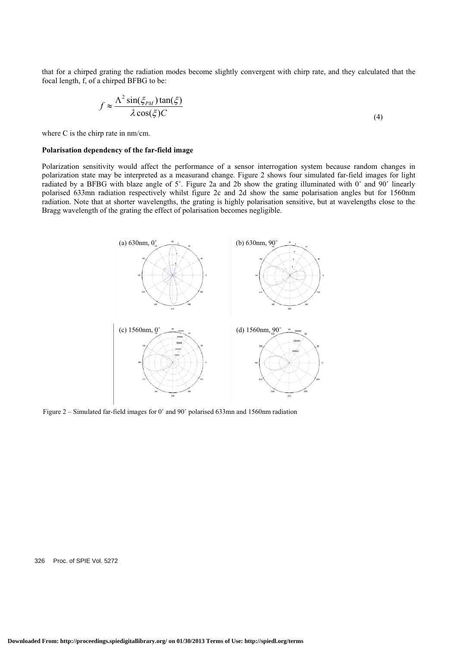that for a chirped grating the radiation modes become slightly convergent with chirp rate, and they calculated that the focal length, f, of a chirped BFBG to be:

$$
f \approx \frac{\Lambda^2 \sin(\xi_{PM}) \tan(\xi)}{\lambda \cos(\xi) C}
$$
 (4)

where C is the chirp rate in nm/cm.

### **Polarisation dependency of the far-field image**

Polarization sensitivity would affect the performance of a sensor interrogation system because random changes in polarization state may be interpreted as a measurand change. Figure 2 shows four simulated far-field images for light radiated by a BFBG with blaze angle of 5˚. Figure 2a and 2b show the grating illuminated with 0˚ and 90˚ linearly polarised 633mn radiation respectively whilst figure 2c and 2d show the same polarisation angles but for 1560nm radiation. Note that at shorter wavelengths, the grating is highly polarisation sensitive, but at wavelengths close to the Bragg wavelength of the grating the effect of polarisation becomes negligible.



Figure 2 – Simulated far-field images for 0˚ and 90˚ polarised 633mn and 1560nm radiation

326 Proc. of SPIE Vol. 5272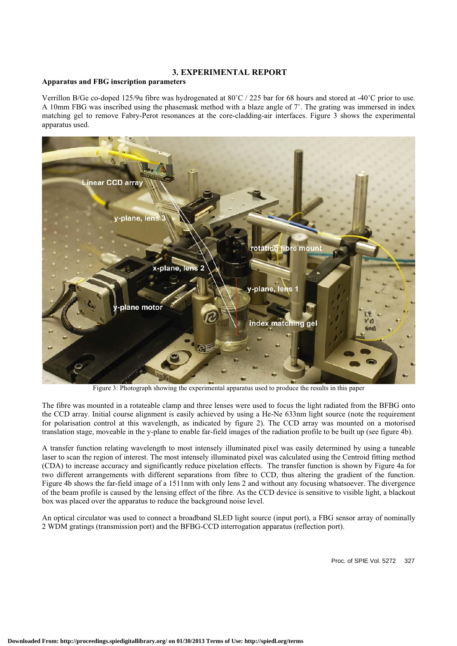# **3. EXPERIMENTAL REPORT**

## **Apparatus and FBG inscription parameters**

Verrillon B/Ge co-doped 125/9u fibre was hydrogenated at 80˚C / 225 bar for 68 hours and stored at -40˚C prior to use. A 10mm FBG was inscribed using the phasemask method with a blaze angle of 7˚. The grating was immersed in index matching gel to remove Fabry-Perot resonances at the core-cladding-air interfaces. Figure 3 shows the experimental apparatus used.



Figure 3: Photograph showing the experimental apparatus used to produce the results in this paper

The fibre was mounted in a rotateable clamp and three lenses were used to focus the light radiated from the BFBG onto the CCD array. Initial course alignment is easily achieved by using a He-Ne 633nm light source (note the requirement for polarisation control at this wavelength, as indicated by figure 2). The CCD array was mounted on a motorised translation stage, moveable in the y-plane to enable far-field images of the radiation profile to be built up (see figure 4b).

A transfer function relating wavelength to most intensely illuminated pixel was easily determined by using a tuneable laser to scan the region of interest. The most intensely illuminated pixel was calculated using the Centroid fitting method (CDA) to increase accuracy and significantly reduce pixelation effects. The transfer function is shown by Figure 4a for two different arrangements with different separations from fibre to CCD, thus altering the gradient of the function. Figure 4b shows the far-field image of a 1511nm with only lens 2 and without any focusing whatsoever. The divergence of the beam profile is caused by the lensing effect of the fibre. As the CCD device is sensitive to visible light, a blackout box was placed over the apparatus to reduce the background noise level.

An optical circulator was used to connect a broadband SLED light source (input port), a FBG sensor array of nominally 2 WDM gratings (transmission port) and the BFBG-CCD interrogation apparatus (reflection port).

Proc. of SPIE Vol. 5272 327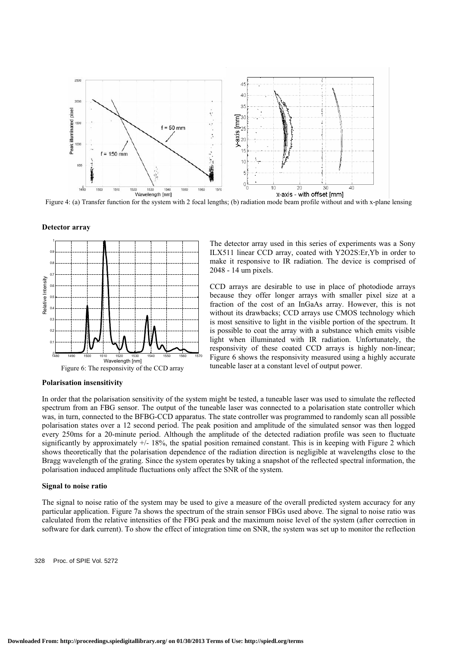

Figure 4: (a) Transfer function for the system with 2 focal lengths; (b) radiation mode beam profile without and with x-plane lensing

#### **Detector array**



The detector array used in this series of experiments was a Sony ILX511 linear CCD array, coated with Y2O2S:Er,Yb in order to make it responsive to IR radiation. The device is comprised of 2048 - 14 um pixels.

CCD arrays are desirable to use in place of photodiode arrays because they offer longer arrays with smaller pixel size at a fraction of the cost of an InGaAs array. However, this is not without its drawbacks; CCD arrays use CMOS technology which is most sensitive to light in the visible portion of the spectrum. It is possible to coat the array with a substance which emits visible light when illuminated with IR radiation. Unfortunately, the responsivity of these coated CCD arrays is highly non-linear; Figure 6 shows the responsivity measured using a highly accurate tuneable laser at a constant level of output power.

#### **Polarisation insensitivity**

In order that the polarisation sensitivity of the system might be tested, a tuneable laser was used to simulate the reflected spectrum from an FBG sensor. The output of the tuneable laser was connected to a polarisation state controller which was, in turn, connected to the BFBG-CCD apparatus. The state controller was programmed to randomly scan all possible polarisation states over a 12 second period. The peak position and amplitude of the simulated sensor was then logged every 250ms for a 20-minute period. Although the amplitude of the detected radiation profile was seen to fluctuate significantly by approximately  $+/- 18\%$ , the spatial position remained constant. This is in keeping with Figure 2 which shows theoretically that the polarisation dependence of the radiation direction is negligible at wavelengths close to the Bragg wavelength of the grating. Since the system operates by taking a snapshot of the reflected spectral information, the polarisation induced amplitude fluctuations only affect the SNR of the system.

### **Signal to noise ratio**

The signal to noise ratio of the system may be used to give a measure of the overall predicted system accuracy for any particular application. Figure 7a shows the spectrum of the strain sensor FBGs used above. The signal to noise ratio was calculated from the relative intensities of the FBG peak and the maximum noise level of the system (after correction in software for dark current). To show the effect of integration time on SNR, the system was set up to monitor the reflection

328 Proc. of SPIE Vol. 5272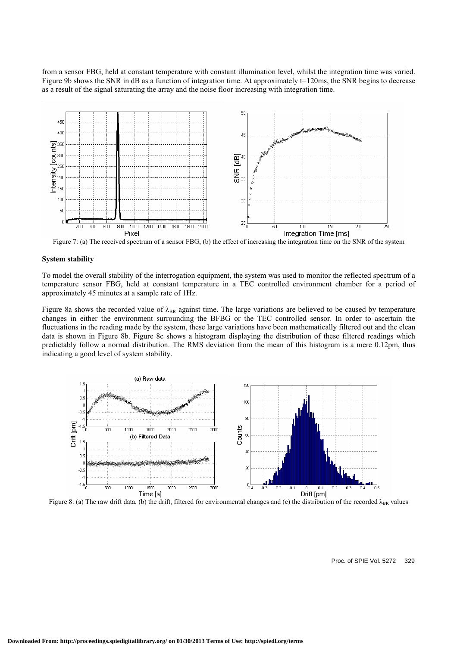from a sensor FBG, held at constant temperature with constant illumination level, whilst the integration time was varied. Figure 9b shows the SNR in dB as a function of integration time. At approximately  $t=120$ ms, the SNR begins to decrease as a result of the signal saturating the array and the noise floor increasing with integration time.



Figure 7: (a) The received spectrum of a sensor FBG, (b) the effect of increasing the integration time on the SNR of the system

### **System stability**

To model the overall stability of the interrogation equipment, the system was used to monitor the reflected spectrum of a temperature sensor FBG, held at constant temperature in a TEC controlled environment chamber for a period of approximately 45 minutes at a sample rate of 1Hz.

Figure 8a shows the recorded value of  $\lambda_{BR}$  against time. The large variations are believed to be caused by temperature changes in either the environment surrounding the BFBG or the TEC controlled sensor. In order to ascertain the fluctuations in the reading made by the system, these large variations have been mathematically filtered out and the clean data is shown in Figure 8b. Figure 8c shows a histogram displaying the distribution of these filtered readings which predictably follow a normal distribution. The RMS deviation from the mean of this histogram is a mere 0.12pm, thus indicating a good level of system stability.



Figure 8: (a) The raw drift data, (b) the drift, filtered for environmental changes and (c) the distribution of the recorded  $\lambda_{BR}$  values

Proc. of SPIE Vol. 5272 329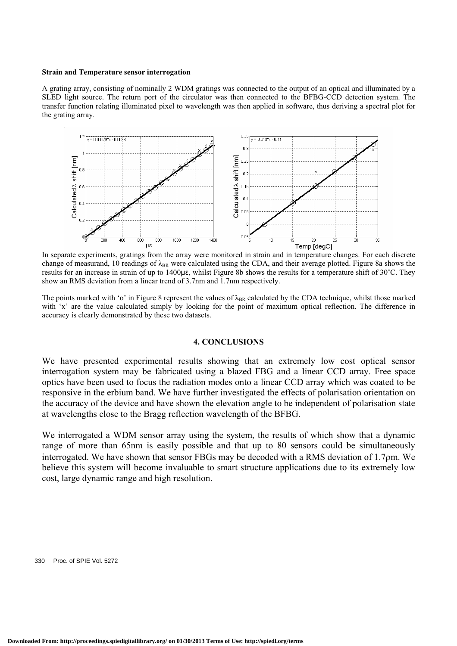### **Strain and Temperature sensor interrogation**

A grating array, consisting of nominally 2 WDM gratings was connected to the output of an optical and illuminated by a SLED light source. The return port of the circulator was then connected to the BFBG-CCD detection system. The transfer function relating illuminated pixel to wavelength was then applied in software, thus deriving a spectral plot for the grating array.



In separate experiments, gratings from the array were monitored in strain and in temperature changes. For each discrete change of measurand, 10 readings of  $\lambda_{BR}$  were calculated using the CDA, and their average plotted. Figure 8a shows the results for an increase in strain of up to 1400 $\mu$ E, whilst Figure 8b shows the results for a temperature shift of 30°C. They show an RMS deviation from a linear trend of 3.7nm and 1.7nm respectively.

The points marked with 'o' in Figure 8 represent the values of  $\lambda_{BR}$  calculated by the CDA technique, whilst those marked with 'x' are the value calculated simply by looking for the point of maximum optical reflection. The difference in accuracy is clearly demonstrated by these two datasets.

# **4. CONCLUSIONS**

We have presented experimental results showing that an extremely low cost optical sensor interrogation system may be fabricated using a blazed FBG and a linear CCD array. Free space optics have been used to focus the radiation modes onto a linear CCD array which was coated to be responsive in the erbium band. We have further investigated the effects of polarisation orientation on the accuracy of the device and have shown the elevation angle to be independent of polarisation state at wavelengths close to the Bragg reflection wavelength of the BFBG.

We interrogated a WDM sensor array using the system, the results of which show that a dynamic range of more than 65nm is easily possible and that up to 80 sensors could be simultaneously interrogated. We have shown that sensor FBGs may be decoded with a RMS deviation of 1.7pm. We believe this system will become invaluable to smart structure applications due to its extremely low cost, large dynamic range and high resolution.

330 Proc. of SPIE Vol. 5272